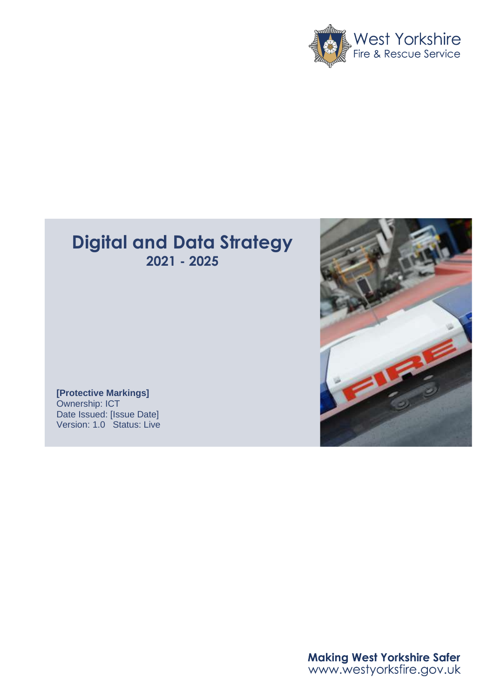

## **Digital and Data Strategy 2021 - 2025**





Making West Yorkshire Safer<br>www.westyorksfire.gov.uk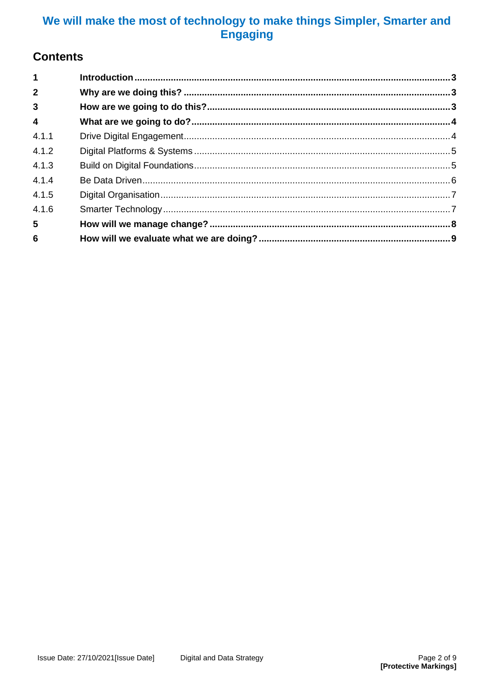## **Contents**

| $\overline{1}$          |  |
|-------------------------|--|
| $\overline{2}$          |  |
| $\mathbf{3}$            |  |
| $\overline{\mathbf{4}}$ |  |
| 4.1.1                   |  |
| 4.1.2                   |  |
| 4.1.3                   |  |
| 4.1.4                   |  |
| 4.1.5                   |  |
| 4.1.6                   |  |
| $5\phantom{.0}$         |  |
| 6                       |  |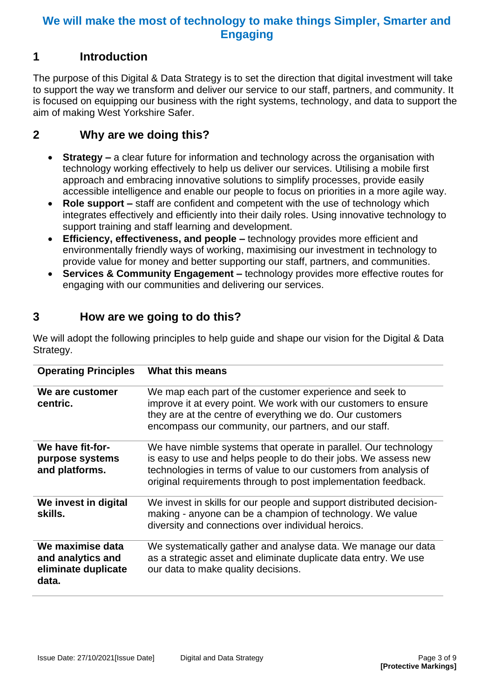#### <span id="page-2-0"></span>**1 Introduction**

The purpose of this Digital & Data Strategy is to set the direction that digital investment will take to support the way we transform and deliver our service to our staff, partners, and community. It is focused on equipping our business with the right systems, technology, and data to support the aim of making West Yorkshire Safer.

#### <span id="page-2-1"></span>**2 Why are we doing this?**

- **Strategy** a clear future for information and technology across the organisation with technology working effectively to help us deliver our services. Utilising a mobile first approach and embracing innovative solutions to simplify processes, provide easily accessible intelligence and enable our people to focus on priorities in a more agile way.
- **Role support –** staff are confident and competent with the use of technology which integrates effectively and efficiently into their daily roles. Using innovative technology to support training and staff learning and development.
- **Efficiency, effectiveness, and people –** technology provides more efficient and environmentally friendly ways of working, maximising our investment in technology to provide value for money and better supporting our staff, partners, and communities.
- **Services & Community Engagement –** technology provides more effective routes for engaging with our communities and delivering our services.

## <span id="page-2-2"></span>**3 How are we going to do this?**

We will adopt the following principles to help guide and shape our vision for the Digital & Data Strategy.

| <b>Operating Principles</b>                                           | What this means                                                                                                                                                                                                                                                          |
|-----------------------------------------------------------------------|--------------------------------------------------------------------------------------------------------------------------------------------------------------------------------------------------------------------------------------------------------------------------|
| We are customer<br>centric.                                           | We map each part of the customer experience and seek to<br>improve it at every point. We work with our customers to ensure<br>they are at the centre of everything we do. Our customers<br>encompass our community, our partners, and our staff.                         |
| We have fit-for-<br>purpose systems<br>and platforms.                 | We have nimble systems that operate in parallel. Our technology<br>is easy to use and helps people to do their jobs. We assess new<br>technologies in terms of value to our customers from analysis of<br>original requirements through to post implementation feedback. |
| We invest in digital<br>skills.                                       | We invest in skills for our people and support distributed decision-<br>making - anyone can be a champion of technology. We value<br>diversity and connections over individual heroics.                                                                                  |
| We maximise data<br>and analytics and<br>eliminate duplicate<br>data. | We systematically gather and analyse data. We manage our data<br>as a strategic asset and eliminate duplicate data entry. We use<br>our data to make quality decisions.                                                                                                  |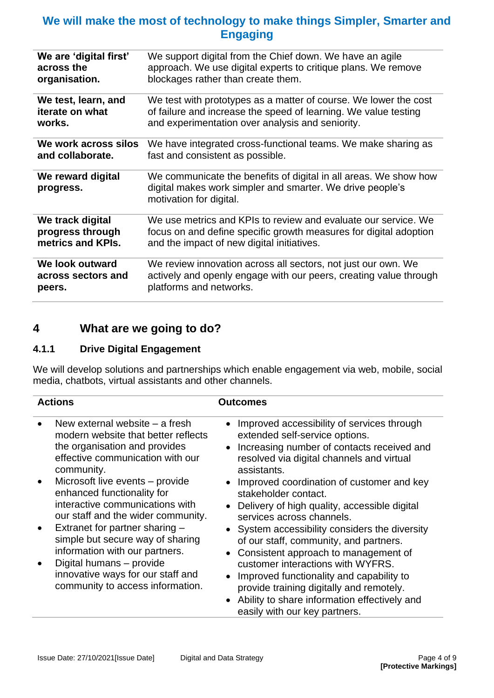| We are 'digital first'         | We support digital from the Chief down. We have an agile                                                                                                 |
|--------------------------------|----------------------------------------------------------------------------------------------------------------------------------------------------------|
| across the                     | approach. We use digital experts to critique plans. We remove                                                                                            |
| organisation.                  | blockages rather than create them.                                                                                                                       |
| We test, learn, and            | We test with prototypes as a matter of course. We lower the cost                                                                                         |
| iterate on what                | of failure and increase the speed of learning. We value testing                                                                                          |
| works.                         | and experimentation over analysis and seniority.                                                                                                         |
| We work across silos           | We have integrated cross-functional teams. We make sharing as                                                                                            |
| and collaborate.               | fast and consistent as possible.                                                                                                                         |
| We reward digital<br>progress. | We communicate the benefits of digital in all areas. We show how<br>digital makes work simpler and smarter. We drive people's<br>motivation for digital. |
| We track digital               | We use metrics and KPIs to review and evaluate our service. We                                                                                           |
| progress through               | focus on and define specific growth measures for digital adoption                                                                                        |
| metrics and KPIs.              | and the impact of new digital initiatives.                                                                                                               |
| We look outward                | We review innovation across all sectors, not just our own. We                                                                                            |
| across sectors and             | actively and openly engage with our peers, creating value through                                                                                        |
| peers.                         | platforms and networks.                                                                                                                                  |

## <span id="page-3-0"></span>**4 What are we going to do?**

#### <span id="page-3-1"></span>**4.1.1 Drive Digital Engagement**

We will develop solutions and partnerships which enable engagement via web, mobile, social media, chatbots, virtual assistants and other channels.

| <b>Actions</b> |                                                                                                                                                          | <b>Outcomes</b>                                                                                                                                                                        |  |
|----------------|----------------------------------------------------------------------------------------------------------------------------------------------------------|----------------------------------------------------------------------------------------------------------------------------------------------------------------------------------------|--|
|                | New external website – a fresh<br>modern website that better reflects<br>the organisation and provides<br>effective communication with our<br>community. | Improved accessibility of services through<br>extended self-service options.<br>Increasing number of contacts received and<br>resolved via digital channels and virtual<br>assistants. |  |
|                | Microsoft live events - provide<br>enhanced functionality for<br>interactive communications with<br>our staff and the wider community.                   | Improved coordination of customer and key<br>stakeholder contact.<br>Delivery of high quality, accessible digital<br>services across channels.                                         |  |
|                | Extranet for partner sharing -<br>simple but secure way of sharing<br>information with our partners.<br>Digital humans - provide                         | System accessibility considers the diversity<br>of our staff, community, and partners.<br>Consistent approach to management of<br>customer interactions with WYFRS.                    |  |
|                | innovative ways for our staff and<br>community to access information.                                                                                    | Improved functionality and capability to<br>provide training digitally and remotely.<br>Ability to share information effectively and<br>easily with our key partners.                  |  |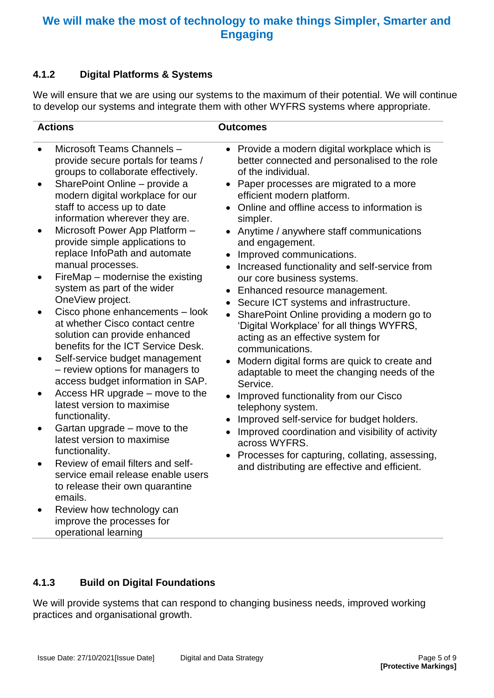#### <span id="page-4-0"></span>**4.1.2 Digital Platforms & Systems**

We will ensure that we are using our systems to the maximum of their potential. We will continue to develop our systems and integrate them with other WYFRS systems where appropriate.

| <b>Actions</b>                                                                                                                                                                                                                                                                                                                                                                                                                                                                                                                                                                                                                                                                                                                                                                                                                                                                                                                                                                                                                                                                                     | <b>Outcomes</b>                                                                                                                                                                                                                                                                                                                                                                                                                                                                                                                                                                                                                                                                                                                                                                                                                                                                                                                                                                                                                                                    |  |
|----------------------------------------------------------------------------------------------------------------------------------------------------------------------------------------------------------------------------------------------------------------------------------------------------------------------------------------------------------------------------------------------------------------------------------------------------------------------------------------------------------------------------------------------------------------------------------------------------------------------------------------------------------------------------------------------------------------------------------------------------------------------------------------------------------------------------------------------------------------------------------------------------------------------------------------------------------------------------------------------------------------------------------------------------------------------------------------------------|--------------------------------------------------------------------------------------------------------------------------------------------------------------------------------------------------------------------------------------------------------------------------------------------------------------------------------------------------------------------------------------------------------------------------------------------------------------------------------------------------------------------------------------------------------------------------------------------------------------------------------------------------------------------------------------------------------------------------------------------------------------------------------------------------------------------------------------------------------------------------------------------------------------------------------------------------------------------------------------------------------------------------------------------------------------------|--|
| Microsoft Teams Channels -<br>provide secure portals for teams /<br>groups to collaborate effectively.<br>SharePoint Online - provide a<br>modern digital workplace for our<br>staff to access up to date<br>information wherever they are.<br>Microsoft Power App Platform -<br>provide simple applications to<br>replace InfoPath and automate<br>manual processes.<br>FireMap - modernise the existing<br>system as part of the wider<br>OneView project.<br>Cisco phone enhancements - look<br>at whether Cisco contact centre<br>solution can provide enhanced<br>benefits for the ICT Service Desk.<br>Self-service budget management<br>- review options for managers to<br>access budget information in SAP.<br>Access HR upgrade – move to the<br>latest version to maximise<br>functionality.<br>Gartan upgrade – move to the<br>latest version to maximise<br>functionality.<br>Review of email filters and self-<br>service email release enable users<br>to release their own quarantine<br>emails.<br>Review how technology can<br>improve the processes for<br>operational learning | • Provide a modern digital workplace which is<br>better connected and personalised to the role<br>of the individual.<br>• Paper processes are migrated to a more<br>efficient modern platform.<br>• Online and offline access to information is<br>simpler.<br>Anytime / anywhere staff communications<br>and engagement.<br>Improved communications.<br>• Increased functionality and self-service from<br>our core business systems.<br>Enhanced resource management.<br>Secure ICT systems and infrastructure.<br>SharePoint Online providing a modern go to<br>'Digital Workplace' for all things WYFRS,<br>acting as an effective system for<br>communications.<br>Modern digital forms are quick to create and<br>adaptable to meet the changing needs of the<br>Service.<br>Improved functionality from our Cisco<br>telephony system.<br>Improved self-service for budget holders.<br>Improved coordination and visibility of activity<br>across WYFRS.<br>Processes for capturing, collating, assessing,<br>and distributing are effective and efficient. |  |

#### <span id="page-4-1"></span>**4.1.3 Build on Digital Foundations**

We will provide systems that can respond to changing business needs, improved working practices and organisational growth.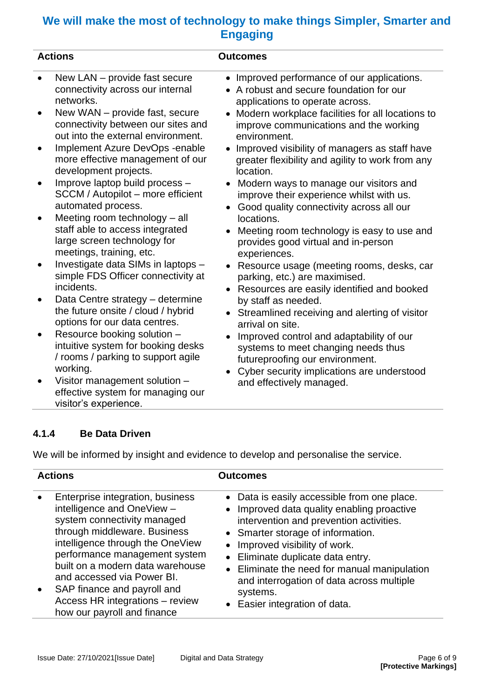| <b>Actions</b> |                                                                                                                             | <b>Outcomes</b>                                                                                                                                                  |  |
|----------------|-----------------------------------------------------------------------------------------------------------------------------|------------------------------------------------------------------------------------------------------------------------------------------------------------------|--|
| $\bullet$      | New LAN - provide fast secure<br>connectivity across our internal<br>networks.                                              | Improved performance of our applications.<br>$\bullet$<br>A robust and secure foundation for our<br>applications to operate across.                              |  |
|                | New WAN - provide fast, secure<br>connectivity between our sites and<br>out into the external environment.                  | Modern workplace facilities for all locations to<br>improve communications and the working<br>environment.                                                       |  |
| $\bullet$      | Implement Azure DevOps - enable<br>more effective management of our<br>development projects.                                | Improved visibility of managers as staff have<br>greater flexibility and agility to work from any<br>location.                                                   |  |
|                | Improve laptop build process -<br>SCCM / Autopilot - more efficient<br>automated process.                                   | Modern ways to manage our visitors and<br>improve their experience whilst with us.<br>Good quality connectivity across all our                                   |  |
|                | Meeting room technology - all<br>staff able to access integrated<br>large screen technology for<br>meetings, training, etc. | locations.<br>Meeting room technology is easy to use and<br>provides good virtual and in-person<br>experiences.                                                  |  |
|                | Investigate data SIMs in laptops -<br>simple FDS Officer connectivity at<br>incidents.                                      | Resource usage (meeting rooms, desks, car<br>parking, etc.) are maximised.<br>Resources are easily identified and booked                                         |  |
|                | Data Centre strategy - determine<br>the future onsite / cloud / hybrid<br>options for our data centres.                     | by staff as needed.<br>• Streamlined receiving and alerting of visitor<br>arrival on site.                                                                       |  |
| $\bullet$      | Resource booking solution -<br>intuitive system for booking desks<br>/ rooms / parking to support agile<br>working.         | Improved control and adaptability of our<br>systems to meet changing needs thus<br>futureproofing our environment.<br>Cyber security implications are understood |  |
|                | Visitor management solution -<br>effective system for managing our<br>visitor's experience.                                 | and effectively managed.                                                                                                                                         |  |

#### <span id="page-5-0"></span>**4.1.4 Be Data Driven**

We will be informed by insight and evidence to develop and personalise the service.

| <b>Actions</b>                                                                                                                                                                                                                                                                                                                                                                     | <b>Outcomes</b>                                                                                                                                                                                                                                                                                                                                                                            |  |
|------------------------------------------------------------------------------------------------------------------------------------------------------------------------------------------------------------------------------------------------------------------------------------------------------------------------------------------------------------------------------------|--------------------------------------------------------------------------------------------------------------------------------------------------------------------------------------------------------------------------------------------------------------------------------------------------------------------------------------------------------------------------------------------|--|
| Enterprise integration, business<br>$\bullet$<br>intelligence and OneView -<br>system connectivity managed<br>through middleware. Business<br>intelligence through the OneView<br>performance management system<br>built on a modern data warehouse<br>and accessed via Power BI.<br>SAP finance and payroll and<br>Access HR integrations - review<br>how our payroll and finance | • Data is easily accessible from one place.<br>• Improved data quality enabling proactive<br>intervention and prevention activities.<br>• Smarter storage of information.<br>• Improved visibility of work.<br>• Eliminate duplicate data entry.<br>• Eliminate the need for manual manipulation<br>and interrogation of data across multiple<br>systems.<br>• Easier integration of data. |  |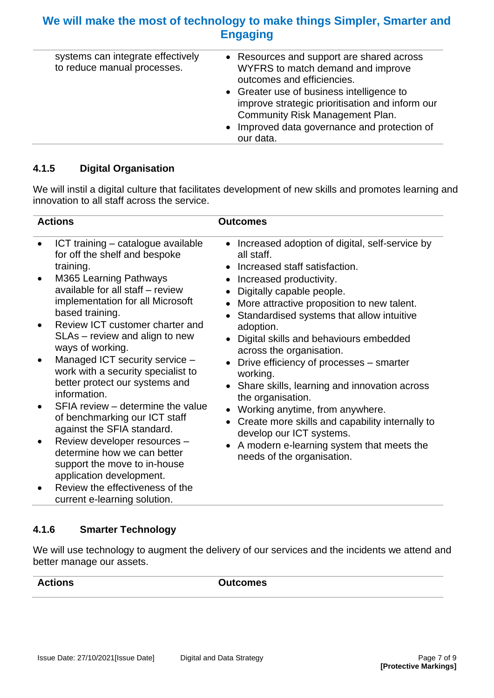| systems can integrate effectively<br>to reduce manual processes. | • Resources and support are shared across<br>WYFRS to match demand and improve                                                  |
|------------------------------------------------------------------|---------------------------------------------------------------------------------------------------------------------------------|
|                                                                  | outcomes and efficiencies.                                                                                                      |
|                                                                  | • Greater use of business intelligence to<br>improve strategic prioritisation and inform our<br>Community Risk Management Plan. |
|                                                                  | • Improved data governance and protection of<br>our data.                                                                       |

#### <span id="page-6-0"></span>**4.1.5 Digital Organisation**

We will instil a digital culture that facilitates development of new skills and promotes learning and innovation to all staff across the service.

| <b>Actions</b>                                                                                                                                                                                                                                                                                                                                                                                                                                                                                                                                                                                                                                                                                                             | <b>Outcomes</b>                                                                                                                                                                                                                                                                                                                                                                                                                                                                                                                                                                                                                                                    |  |
|----------------------------------------------------------------------------------------------------------------------------------------------------------------------------------------------------------------------------------------------------------------------------------------------------------------------------------------------------------------------------------------------------------------------------------------------------------------------------------------------------------------------------------------------------------------------------------------------------------------------------------------------------------------------------------------------------------------------------|--------------------------------------------------------------------------------------------------------------------------------------------------------------------------------------------------------------------------------------------------------------------------------------------------------------------------------------------------------------------------------------------------------------------------------------------------------------------------------------------------------------------------------------------------------------------------------------------------------------------------------------------------------------------|--|
| ICT training - catalogue available<br>for off the shelf and bespoke<br>training.<br>M365 Learning Pathways<br>available for all staff - review<br>implementation for all Microsoft<br>based training.<br>Review ICT customer charter and<br>SLAs - review and align to new<br>ways of working.<br>Managed ICT security service -<br>work with a security specialist to<br>better protect our systems and<br>information.<br>SFIA review - determine the value<br>of benchmarking our ICT staff<br>against the SFIA standard.<br>Review developer resources -<br>determine how we can better<br>support the move to in-house<br>application development.<br>Review the effectiveness of the<br>current e-learning solution. | • Increased adoption of digital, self-service by<br>all staff.<br>• Increased staff satisfaction.<br>Increased productivity.<br>Digitally capable people.<br>More attractive proposition to new talent.<br>Standardised systems that allow intuitive<br>adoption.<br>Digital skills and behaviours embedded<br>across the organisation.<br>Drive efficiency of processes - smarter<br>working.<br>• Share skills, learning and innovation across<br>the organisation.<br>Working anytime, from anywhere.<br>Create more skills and capability internally to<br>develop our ICT systems.<br>A modern e-learning system that meets the<br>needs of the organisation. |  |

#### <span id="page-6-1"></span>**4.1.6 Smarter Technology**

We will use technology to augment the delivery of our services and the incidents we attend and better manage our assets.

**Actions Outcomes**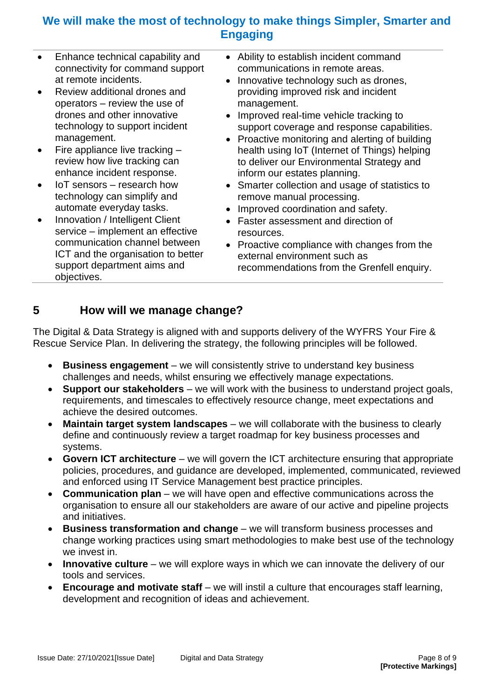- Enhance technical capability and connectivity for command support at remote incidents.
- Review additional drones and operators – review the use of drones and other innovative technology to support incident management.
- Fire appliance live tracking review how live tracking can enhance incident response.
- IoT sensors research how technology can simplify and automate everyday tasks.
- Innovation / Intelligent Client service – implement an effective communication channel between ICT and the organisation to better support department aims and objectives.
- Ability to establish incident command communications in remote areas.
- Innovative technology such as drones, providing improved risk and incident management.
- Improved real-time vehicle tracking to support coverage and response capabilities.
- Proactive monitoring and alerting of building health using IoT (Internet of Things) helping to deliver our Environmental Strategy and inform our estates planning.
- Smarter collection and usage of statistics to remove manual processing.
- Improved coordination and safety.
- Faster assessment and direction of resources.
- Proactive compliance with changes from the external environment such as recommendations from the Grenfell enquiry.

## <span id="page-7-0"></span>**5 How will we manage change?**

The Digital & Data Strategy is aligned with and supports delivery of the WYFRS Your Fire & Rescue Service Plan. In delivering the strategy, the following principles will be followed.

- **Business engagement** we will consistently strive to understand key business challenges and needs, whilst ensuring we effectively manage expectations.
- **Support our stakeholders** we will work with the business to understand project goals, requirements, and timescales to effectively resource change, meet expectations and achieve the desired outcomes.
- **Maintain target system landscapes** we will collaborate with the business to clearly define and continuously review a target roadmap for key business processes and systems.
- **Govern ICT architecture**  we will govern the ICT architecture ensuring that appropriate policies, procedures, and guidance are developed, implemented, communicated, reviewed and enforced using IT Service Management best practice principles.
- **Communication plan** we will have open and effective communications across the organisation to ensure all our stakeholders are aware of our active and pipeline projects and initiatives.
- **Business transformation and change**  we will transform business processes and change working practices using smart methodologies to make best use of the technology we invest in.
- **Innovative culture** we will explore ways in which we can innovate the delivery of our tools and services.
- Encourage and motivate staff we will instil a culture that encourages staff learning, development and recognition of ideas and achievement.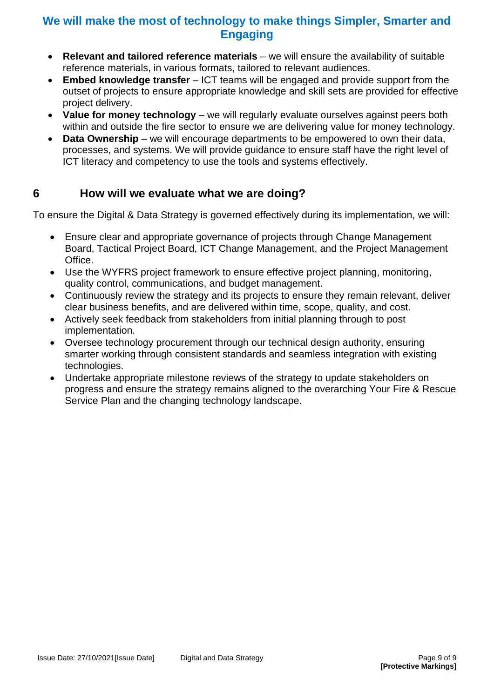- **Relevant and tailored reference materials**  we will ensure the availability of suitable reference materials, in various formats, tailored to relevant audiences.
- **Embed knowledge transfer**  ICT teams will be engaged and provide support from the outset of projects to ensure appropriate knowledge and skill sets are provided for effective project delivery.
- Value for money technology we will regularly evaluate ourselves against peers both within and outside the fire sector to ensure we are delivering value for money technology.
- **Data Ownership** we will encourage departments to be empowered to own their data, processes, and systems. We will provide guidance to ensure staff have the right level of ICT literacy and competency to use the tools and systems effectively.

## <span id="page-8-0"></span>**6 How will we evaluate what we are doing?**

To ensure the Digital & Data Strategy is governed effectively during its implementation, we will:

- Ensure clear and appropriate governance of projects through Change Management Board, Tactical Project Board, ICT Change Management, and the Project Management Office.
- Use the WYFRS project framework to ensure effective project planning, monitoring, quality control, communications, and budget management.
- Continuously review the strategy and its projects to ensure they remain relevant, deliver clear business benefits, and are delivered within time, scope, quality, and cost.
- Actively seek feedback from stakeholders from initial planning through to post implementation.
- Oversee technology procurement through our technical design authority, ensuring smarter working through consistent standards and seamless integration with existing technologies.
- Undertake appropriate milestone reviews of the strategy to update stakeholders on progress and ensure the strategy remains aligned to the overarching Your Fire & Rescue Service Plan and the changing technology landscape.